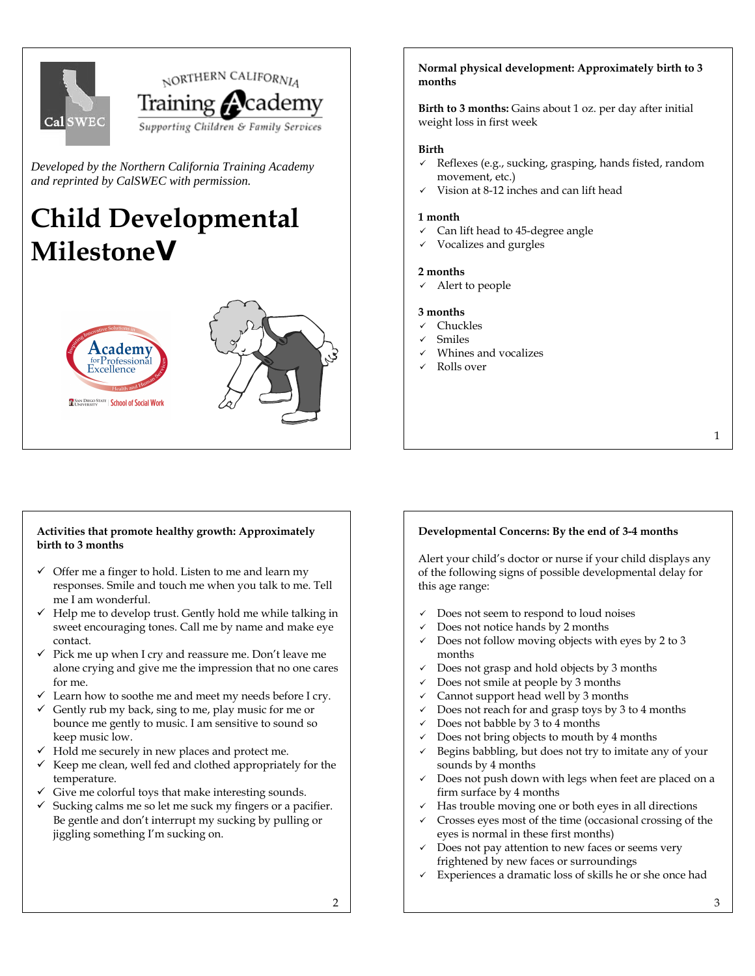

*Developed by the Northern California Training Academy and reprinted by CalSWEC with permission.* 

# **Child Developmental Milestoneg**





## **Normal physical development: Approximately birth to 3 months**

**Birth to 3 months:** Gains about 1 oz. per day after initial weight loss in first week

## **Birth**

- $\checkmark$  Reflexes (e.g., sucking, grasping, hands fisted, random movement, etc.)
- Vision at 8-12 inches and can lift head

#### **1 month**

- Can lift head to 45-degree angle
- 9 Vocalizes and gurgles

## **2 months**

Alert to people

## **3 months**

- Chuckles
- **Smiles**
- Whines and vocalizes
- Rolls over

**Activities that promote healthy growth: Approximately birth to 3 months** 

 $\checkmark$  Offer me a finger to hold. Listen to me and learn my responses. Smile and touch me when you talk to me. Tell me I am wonderful.

- $\checkmark$  Help me to develop trust. Gently hold me while talking in sweet encouraging tones. Call me by name and make eye contact.
- $\checkmark$  Pick me up when I cry and reassure me. Don't leave me alone crying and give me the impression that no one cares for me.
- $\checkmark$  Learn how to soothe me and meet my needs before I cry.
- $\checkmark$  Gently rub my back, sing to me, play music for me or bounce me gently to music. I am sensitive to sound so keep music low.
- $\checkmark$  Hold me securely in new places and protect me.
- $\checkmark$  Keep me clean, well fed and clothed appropriately for the temperature.
- $\checkmark$  Give me colorful toys that make interesting sounds.
- $\checkmark$  Sucking calms me so let me suck my fingers or a pacifier. Be gentle and don't interrupt my sucking by pulling or jiggling something I'm sucking on.

## **Developmental Concerns: By the end of 3-4 months**

Alert your child's doctor or nurse if your child displays any of the following signs of possible developmental delay for this age range:

- Does not seem to respond to loud noises
- Does not notice hands by 2 months
- Does not follow moving objects with eyes by 2 to 3 months
- Does not grasp and hold objects by 3 months
- Does not smile at people by 3 months
- Cannot support head well by 3 months
- Does not reach for and grasp toys by 3 to 4 months
- Does not babble by 3 to 4 months
- Does not bring objects to mouth by 4 months
- Begins babbling, but does not try to imitate any of your sounds by 4 months
- Does not push down with legs when feet are placed on a firm surface by 4 months
- Has trouble moving one or both eyes in all directions
- Crosses eyes most of the time (occasional crossing of the eyes is normal in these first months)
- Does not pay attention to new faces or seems very frightened by new faces or surroundings
- Experiences a dramatic loss of skills he or she once had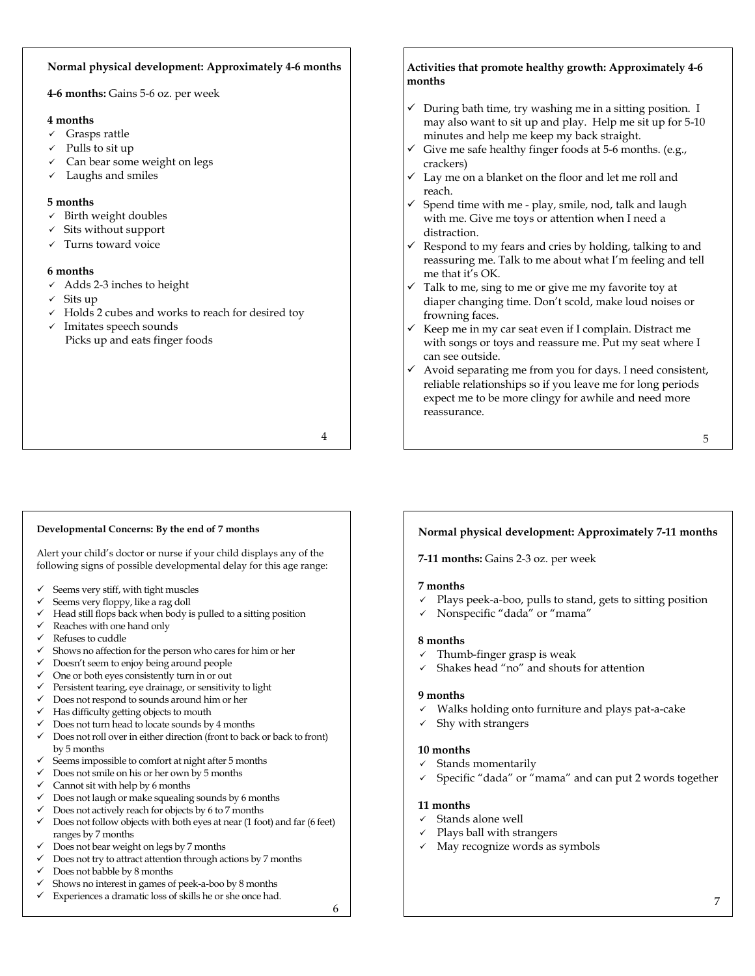## **Normal physical development: Approximately 4-6 months**

**4-6 months:** Gains 5-6 oz. per week

#### **4 months**

- $\checkmark$  Grasps rattle
- Pulls to sit up
- Can bear some weight on legs
- Laughs and smiles

## **5 months**

- $\checkmark$  Birth weight doubles
- $\checkmark$  Sits without support
- $\checkmark$  Turns toward voice

## **6 months**

- $\checkmark$  Adds 2-3 inches to height
- $\checkmark$  Sits up
- $\checkmark$  Holds 2 cubes and works to reach for desired toy
- $\checkmark$  Imitates speech sounds Picks up and eats finger foods

4

## **Activities that promote healthy growth: Approximately 4-6 months**

- $\checkmark$  During bath time, try washing me in a sitting position. I may also want to sit up and play. Help me sit up for 5-10 minutes and help me keep my back straight.
- $\checkmark$  Give me safe healthy finger foods at 5-6 months. (e.g., crackers)
- $\checkmark$  Lay me on a blanket on the floor and let me roll and reach.
- $\checkmark$  Spend time with me play, smile, nod, talk and laugh with me. Give me toys or attention when I need a distraction.
- Respond to my fears and cries by holding, talking to and reassuring me. Talk to me about what I'm feeling and tell me that it's OK.
- Talk to me, sing to me or give me my favorite toy at diaper changing time. Don't scold, make loud noises or frowning faces.
- $\checkmark$  Keep me in my car seat even if I complain. Distract me with songs or toys and reassure me. Put my seat where I can see outside.
- $\checkmark$  Avoid separating me from you for days. I need consistent, reliable relationships so if you leave me for long periods expect me to be more clingy for awhile and need more reassurance.

5

## **Developmental Concerns: By the end of 7 months**

Alert your child's doctor or nurse if your child displays any of the following signs of possible developmental delay for this age range:

- Seems very stiff, with tight muscles
- Seems very floppy, like a rag doll
- $\checkmark$  Head still flops back when body is pulled to a sitting position
- $\checkmark$  Reaches with one hand only
- $\checkmark$  Refuses to cuddle
- Shows no affection for the person who cares for him or her
- $\checkmark$  Doesn't seem to enjoy being around people
- $\checkmark$  One or both eyes consistently turn in or out
- $\checkmark$  Persistent tearing, eye drainage, or sensitivity to light
- $\checkmark$  Does not respond to sounds around him or her
- $\checkmark$  Has difficulty getting objects to mouth
- $\checkmark$  Does not turn head to locate sounds by 4 months
- $\checkmark$  Does not roll over in either direction (front to back or back to front) by 5 months
- $\checkmark$  Seems impossible to comfort at night after 5 months
- $\checkmark$  Does not smile on his or her own by 5 months
- $\checkmark$  Cannot sit with help by 6 months
- $\checkmark$  Does not laugh or make squealing sounds by 6 months
- $\checkmark$  Does not actively reach for objects by 6 to 7 months
- $\checkmark$  Does not follow objects with both eyes at near (1 foot) and far (6 feet) ranges by 7 months
- Does not bear weight on legs by 7 months
- Does not try to attract attention through actions by 7 months
- $\checkmark$  Does not babble by 8 months
- Shows no interest in games of peek-a-boo by 8 months  $\checkmark$  Experiences a dramatic loss of skills he or she once had.
	-

6

## **Normal physical development: Approximately 7-11 months**

**7-11 months:** Gains 2-3 oz. per week

## **7 months**

- $\checkmark$  Plays peek-a-boo, pulls to stand, gets to sitting position
- 9 Nonspecific "dada" or "mama"

## **8 months**

- Thumb-finger grasp is weak
- Shakes head "no" and shouts for attention

## **9 months**

- Walks holding onto furniture and plays pat-a-cake
	- Shy with strangers

## **10 months**

- Stands momentarily
- Specific "dada" or "mama" and can put 2 words together

## **11 months**

- $\checkmark$  Stands alone well
- Plays ball with strangers
- $\checkmark$  May recognize words as symbols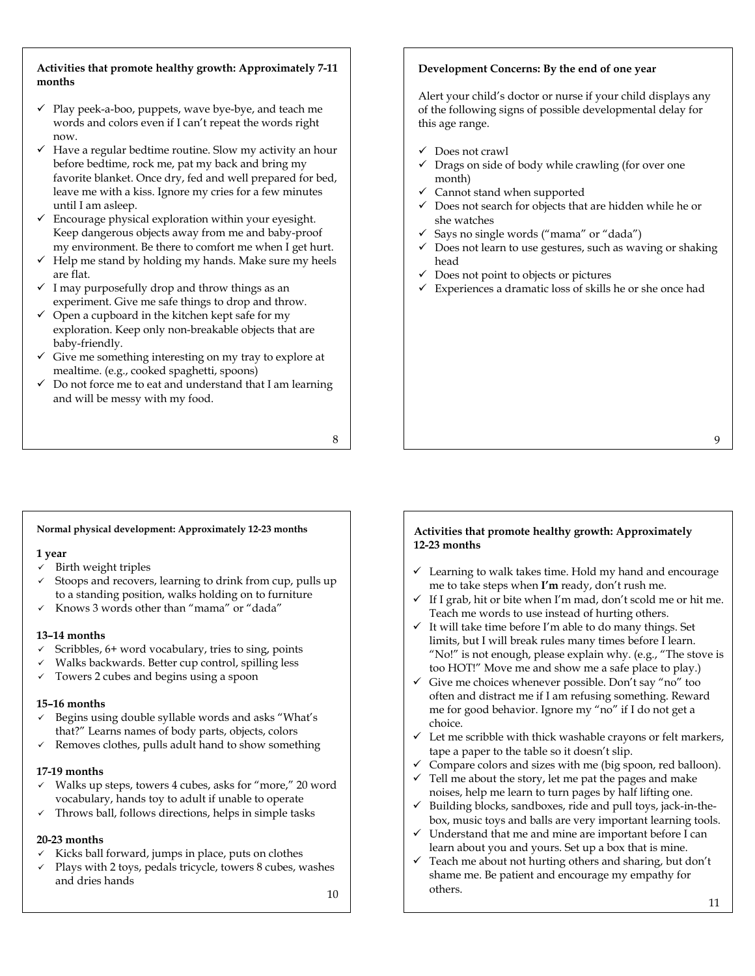## **Activities that promote healthy growth: Approximately 7-11 months**

- $\checkmark$  Play peek-a-boo, puppets, wave bye-bye, and teach me words and colors even if I can't repeat the words right now.
- $\checkmark$  Have a regular bedtime routine. Slow my activity an hour before bedtime, rock me, pat my back and bring my favorite blanket. Once dry, fed and well prepared for bed, leave me with a kiss. Ignore my cries for a few minutes until I am asleep.
- $\checkmark$  Encourage physical exploration within your eyesight. Keep dangerous objects away from me and baby-proof my environment. Be there to comfort me when I get hurt.
- $\checkmark$  Help me stand by holding my hands. Make sure my heels are flat.
- $\checkmark$  I may purposefully drop and throw things as an experiment. Give me safe things to drop and throw.
- $\checkmark$  Open a cupboard in the kitchen kept safe for my exploration. Keep only non-breakable objects that are baby-friendly.
- $\checkmark$  Give me something interesting on my tray to explore at mealtime. (e.g., cooked spaghetti, spoons)
- $\checkmark$  Do not force me to eat and understand that I am learning and will be messy with my food.

8

## **Development Concerns: By the end of one year**

Alert your child's doctor or nurse if your child displays any of the following signs of possible developmental delay for this age range.

- $\checkmark$  Does not crawl
- $\checkmark$  Drags on side of body while crawling (for over one month)
- Cannot stand when supported
- Does not search for objects that are hidden while he or she watches
- $\checkmark$  Says no single words ("mama" or "dada")
- $\checkmark$  Does not learn to use gestures, such as waving or shaking head
- $\checkmark$  Does not point to objects or pictures
- $\checkmark$  Experiences a dramatic loss of skills he or she once had

#### **Normal physical development: Approximately 12-23 months**

## **1 year**

- $\checkmark$  Birth weight triples
- Stoops and recovers, learning to drink from cup, pulls up to a standing position, walks holding on to furniture
- 9 Knows 3 words other than "mama" or "dada"

## **13–14 months**

- $\checkmark$  Scribbles, 6+ word vocabulary, tries to sing, points
- 9 Walks backwards. Better cup control, spilling less
- Towers 2 cubes and begins using a spoon

## **15–16 months**

- $\checkmark$  Begins using double syllable words and asks "What's that?" Learns names of body parts, objects, colors
- $\checkmark$  Removes clothes, pulls adult hand to show something

#### **17-19 months**

- $\checkmark$  Walks up steps, towers 4 cubes, asks for "more," 20 word vocabulary, hands toy to adult if unable to operate
- $\checkmark$  Throws ball, follows directions, helps in simple tasks

## **20-23 months**

- $\checkmark$  Kicks ball forward, jumps in place, puts on clothes
- $\checkmark$  Plays with 2 toys, pedals tricycle, towers 8 cubes, washes and dries hands

#### **Activities that promote healthy growth: Approximately 12-23 months**

- $\checkmark$  Learning to walk takes time. Hold my hand and encourage me to take steps when **I'm** ready, don't rush me.
- If I grab, hit or bite when I'm mad, don't scold me or hit me. Teach me words to use instead of hurting others.
- $\checkmark$  It will take time before I'm able to do many things. Set limits, but I will break rules many times before I learn. "No!" is not enough, please explain why. (e.g., "The stove is too HOT!" Move me and show me a safe place to play.)
- $\checkmark$  Give me choices whenever possible. Don't say "no" too often and distract me if I am refusing something. Reward me for good behavior. Ignore my "no" if I do not get a choice.
- $\checkmark$  Let me scribble with thick washable crayons or felt markers, tape a paper to the table so it doesn't slip.
- $\checkmark$  Compare colors and sizes with me (big spoon, red balloon).
- $\checkmark$  Tell me about the story, let me pat the pages and make noises, help me learn to turn pages by half lifting one.
- $\checkmark$  Building blocks, sandboxes, ride and pull toys, jack-in-thebox, music toys and balls are very important learning tools.
- $\checkmark$  Understand that me and mine are important before I can learn about you and yours. Set up a box that is mine.
- $\checkmark$  Teach me about not hurting others and sharing, but don't shame me. Be patient and encourage my empathy for others.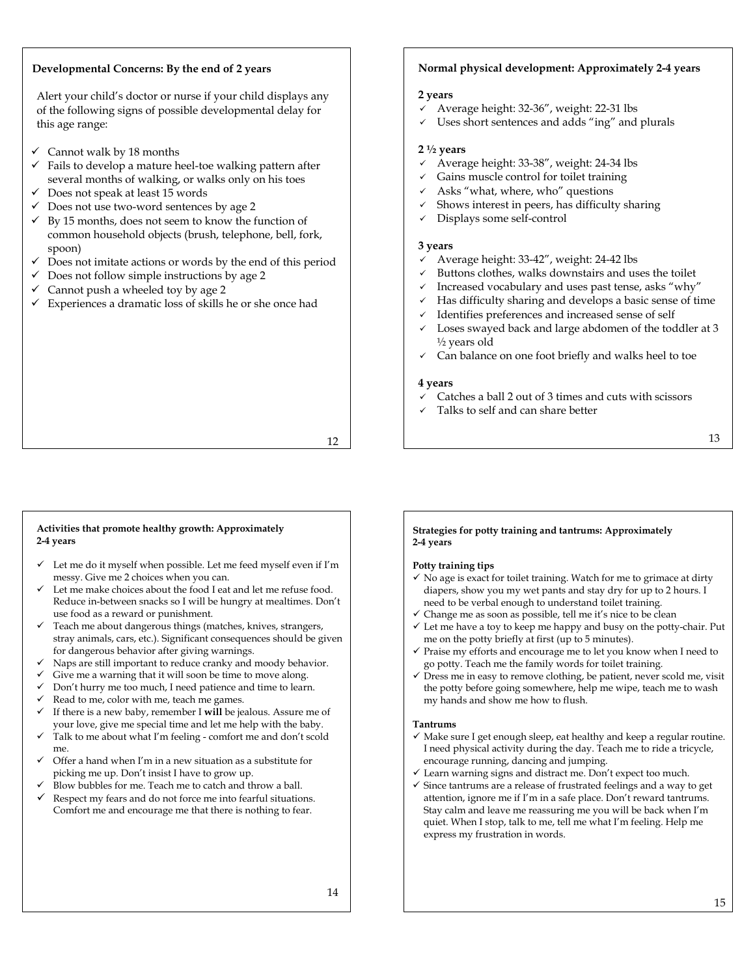## **Developmental Concerns: By the end of 2 years**

Alert your child's doctor or nurse if your child displays any of the following signs of possible developmental delay for this age range:

- $\checkmark$  Cannot walk by 18 months
- $\checkmark$  Fails to develop a mature heel-toe walking pattern after several months of walking, or walks only on his toes
- $\checkmark$  Does not speak at least 15 words
- $\checkmark$  Does not use two-word sentences by age 2
- $\checkmark$  By 15 months, does not seem to know the function of common household objects (brush, telephone, bell, fork, spoon)
- Does not imitate actions or words by the end of this period
- $\checkmark$  Does not follow simple instructions by age 2
- Cannot push a wheeled toy by age 2
- $\checkmark$  Experiences a dramatic loss of skills he or she once had

## **Normal physical development: Approximately 2-4 years**

#### **2 years**

- Average height: 32-36", weight: 22-31 lbs
- Uses short sentences and adds "ing" and plurals

#### **2 ½ years**

- Average height: 33-38", weight: 24-34 lbs
- Gains muscle control for toilet training
- Asks "what, where, who" questions
- Shows interest in peers, has difficulty sharing
- Displays some self-control

#### **3 years**

- 9 Average height: 33-42", weight: 24-42 lbs
- Buttons clothes, walks downstairs and uses the toilet
- Increased vocabulary and uses past tense, asks "why"
- Has difficulty sharing and develops a basic sense of time
- Identifies preferences and increased sense of self
- Loses swayed back and large abdomen of the toddler at 3 ½ years old
- Can balance on one foot briefly and walks heel to toe

#### **4 years**

- Catches a ball 2 out of 3 times and cuts with scissors
- Talks to self and can share better

## 12

#### **Activities that promote healthy growth: Approximately 2-4 years**

- $\checkmark$  Let me do it myself when possible. Let me feed myself even if I'm messy. Give me 2 choices when you can.
- Let me make choices about the food I eat and let me refuse food. Reduce in-between snacks so I will be hungry at mealtimes. Don't use food as a reward or punishment.
- $\checkmark$  Teach me about dangerous things (matches, knives, strangers, stray animals, cars, etc.). Significant consequences should be given for dangerous behavior after giving warnings.
- Naps are still important to reduce cranky and moody behavior.
- Give me a warning that it will soon be time to move along.
- Don't hurry me too much, I need patience and time to learn.
- Read to me, color with me, teach me games.
- 9 If there is a new baby, remember I **will** be jealous. Assure me of your love, give me special time and let me help with the baby.
- Talk to me about what I'm feeling comfort me and don't scold me.
- Offer a hand when I'm in a new situation as a substitute for picking me up. Don't insist I have to grow up.
- Blow bubbles for me. Teach me to catch and throw a ball.
- Respect my fears and do not force me into fearful situations. Comfort me and encourage me that there is nothing to fear.

#### **Strategies for potty training and tantrums: Approximately 2-4 years**

#### **Potty training tips**

- $\checkmark$  No age is exact for toilet training. Watch for me to grimace at dirty diapers, show you my wet pants and stay dry for up to 2 hours. I need to be verbal enough to understand toilet training.
- $\checkmark$  Change me as soon as possible, tell me it's nice to be clean
- $\checkmark$  Let me have a toy to keep me happy and busy on the potty-chair. Put me on the potty briefly at first (up to 5 minutes).
- $\checkmark$  Praise my efforts and encourage me to let you know when I need to go potty. Teach me the family words for toilet training.
- $\checkmark$  Dress me in easy to remove clothing, be patient, never scold me, visit the potty before going somewhere, help me wipe, teach me to wash my hands and show me how to flush.

#### **Tantrums**

- $\checkmark$  Make sure I get enough sleep, eat healthy and keep a regular routine. I need physical activity during the day. Teach me to ride a tricycle, encourage running, dancing and jumping.
- $\checkmark$  Learn warning signs and distract me. Don't expect too much.
- $\checkmark$  Since tantrums are a release of frustrated feelings and a way to get attention, ignore me if I'm in a safe place. Don't reward tantrums. Stay calm and leave me reassuring me you will be back when I'm quiet. When I stop, talk to me, tell me what I'm feeling. Help me express my frustration in words.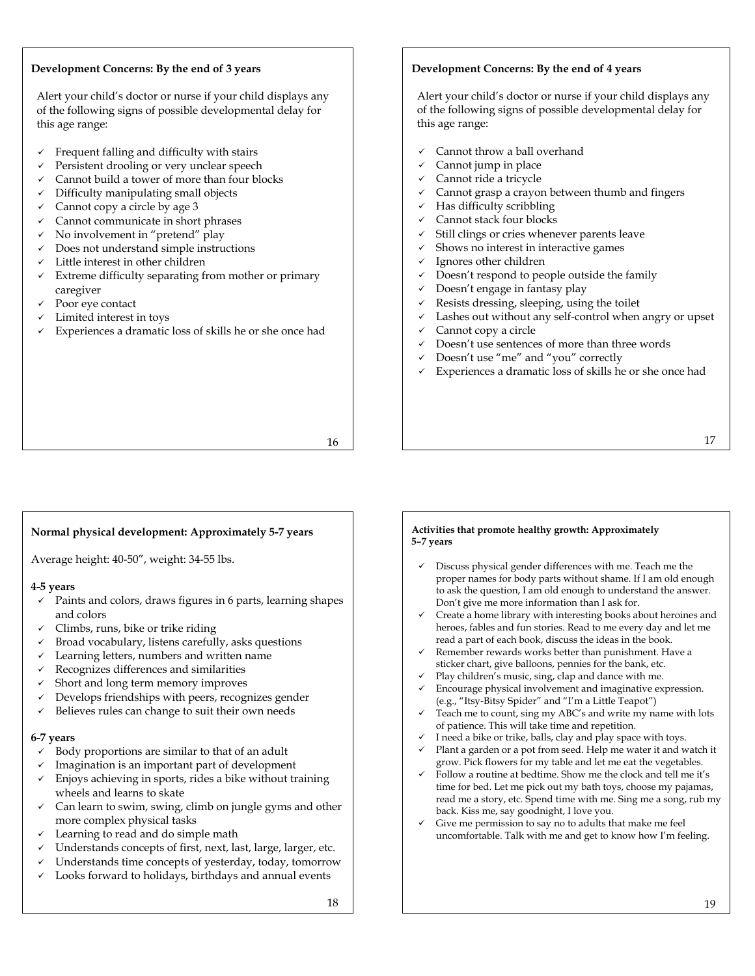## **Development Concerns: By the end of 3 years**

Alert your child's doctor or nurse if your child displays any of the following signs of possible developmental delay for this age range:

- $\checkmark$  Frequent falling and difficulty with stairs
- Persistent drooling or very unclear speech
- Cannot build a tower of more than four blocks
- Difficulty manipulating small objects
- $\checkmark$  Cannot copy a circle by age 3
- $\checkmark$  Cannot communicate in short phrases
- $\checkmark$  No involvement in "pretend" play
- $\checkmark$  Does not understand simple instructions
- $\checkmark$  Little interest in other children
- $\checkmark$  Extreme difficulty separating from mother or primary caregiver
- Poor eye contact
- Limited interest in toys
- Experiences a dramatic loss of skills he or she once had

## **Development Concerns: By the end of 4 years**

Alert your child's doctor or nurse if your child displays any of the following signs of possible developmental delay for this age range:

- Cannot throw a ball overhand
- Cannot jump in place
- Cannot ride a tricycle
- Cannot grasp a crayon between thumb and fingers
- Has difficulty scribbling
- Cannot stack four blocks
- Still clings or cries whenever parents leave
- Shows no interest in interactive games
- $\checkmark$  Ignores other children
- $\checkmark$  Doesn't respond to people outside the family
- $\checkmark$  Doesn't engage in fantasy play
- Resists dressing, sleeping, using the toilet
- Lashes out without any self-control when angry or upset
- Cannot copy a circle
- Doesn't use sentences of more than three words
- Doesn't use "me" and "you" correctly
- Experiences a dramatic loss of skills he or she once had

16

## **Normal physical development: Approximately 5-7 years**

Average height: 40-50", weight: 34-55 lbs.

## **4-5 years**

- $\checkmark$  Paints and colors, draws figures in 6 parts, learning shapes and colors
- $\checkmark$  Climbs, runs, bike or trike riding
- $\checkmark$  Broad vocabulary, listens carefully, asks questions
- $\checkmark$  Learning letters, numbers and written name
- $\checkmark$  Recognizes differences and similarities
- 9 Short and long term memory improves
- Develops friendships with peers, recognizes gender
- $\checkmark$  Believes rules can change to suit their own needs

## **6-7 years**

- 9 Body proportions are similar to that of an adult
- Imagination is an important part of development
- $\checkmark$  Enjoys achieving in sports, rides a bike without training wheels and learns to skate
- $\checkmark$  Can learn to swim, swing, climb on jungle gyms and other more complex physical tasks
- $\checkmark$  Learning to read and do simple math
- $\checkmark$  Understands concepts of first, next, last, large, larger, etc.
- Understands time concepts of yesterday, today, tomorrow
- Looks forward to holidays, birthdays and annual events

#### 18

#### **Activities that promote healthy growth: Approximately 5–7 years**

- $\checkmark$  Discuss physical gender differences with me. Teach me the proper names for body parts without shame. If I am old enough to ask the question, I am old enough to understand the answer. Don't give me more information than I ask for.
- $\checkmark$  Create a home library with interesting books about heroines and heroes, fables and fun stories. Read to me every day and let me read a part of each book, discuss the ideas in the book.
- Remember rewards works better than punishment. Have a sticker chart, give balloons, pennies for the bank, etc.
- Play children's music, sing, clap and dance with me.
- Encourage physical involvement and imaginative expression. (e.g., "Itsy-Bitsy Spider" and "I'm a Little Teapot")
- Teach me to count, sing my ABC's and write my name with lots of patience. This will take time and repetition.
- I need a bike or trike, balls, clay and play space with toys.
- Plant a garden or a pot from seed. Help me water it and watch it grow. Pick flowers for my table and let me eat the vegetables.
- Follow a routine at bedtime. Show me the clock and tell me it's time for bed. Let me pick out my bath toys, choose my pajamas, read me a story, etc. Spend time with me. Sing me a song, rub my back. Kiss me, say goodnight, I love you.
- $\checkmark$  Give me permission to say no to adults that make me feel uncomfortable. Talk with me and get to know how I'm feeling.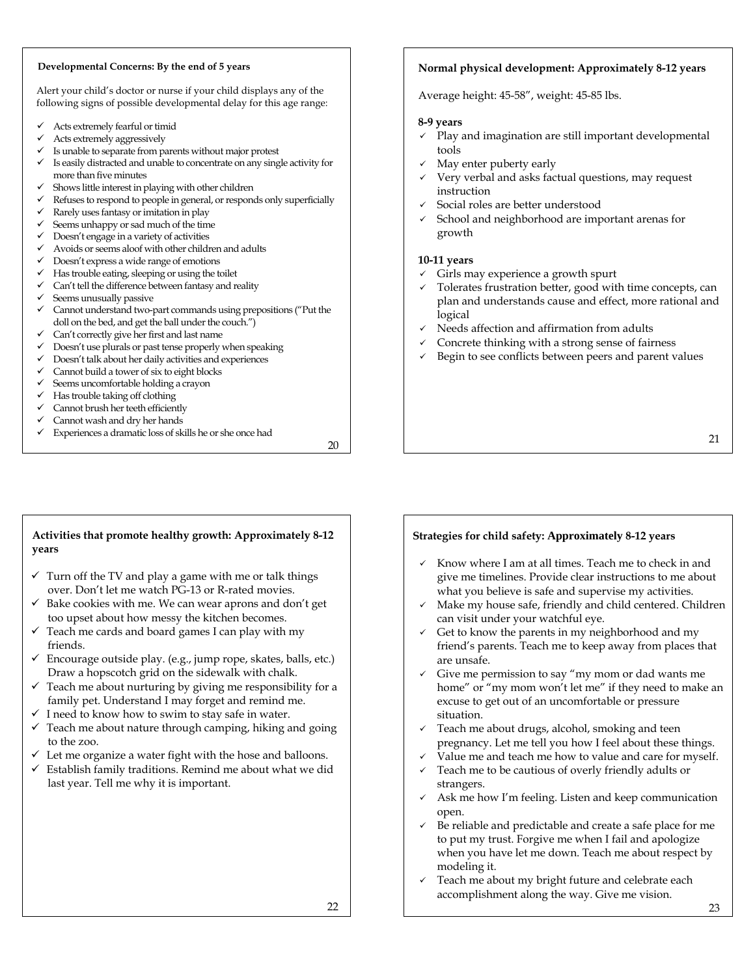#### **Developmental Concerns: By the end of 5 years**

Alert your child's doctor or nurse if your child displays any of the following signs of possible developmental delay for this age range:

- Acts extremely fearful or timid
- Acts extremely aggressively
- Is unable to separate from parents without major protest
- Is easily distracted and unable to concentrate on any single activity for more than five minutes
- Shows little interest in playing with other children
- Refuses to respond to people in general, or responds only superficially
- Rarely uses fantasy or imitation in play
- $\checkmark$  Seems unhappy or sad much of the time
- $\checkmark$  Doesn't engage in a variety of activities
- Avoids or seems aloof with other children and adults
- Doesn't express a wide range of emotions
- $\checkmark$  Has trouble eating, sleeping or using the toilet
- Can't tell the difference between fantasy and reality Seems unusually passive
- $\checkmark$  Cannot understand two-part commands using prepositions ("Put the doll on the bed, and get the ball under the couch.")
- $\checkmark$  Can't correctly give her first and last name
- $\checkmark$  Doesn't use plurals or past tense properly when speaking
- Doesn't talk about her daily activities and experiences
- Cannot build a tower of six to eight blocks
- 9 Seems uncomfortable holding a crayon
- $\checkmark$  Has trouble taking off clothing
- Cannot brush her teeth efficiently
- Cannot wash and dry her hands
- $\checkmark$  Experiences a dramatic loss of skills he or she once had

20

## **Normal physical development: Approximately 8-12 years**

Average height: 45-58", weight: 45-85 lbs.

## **8-9 years**

- $\checkmark$  Play and imagination are still important developmental tools
- May enter puberty early
- Very verbal and asks factual questions, may request instruction
- 9 Social roles are better understood
- School and neighborhood are important arenas for growth

## **10-11 years**

- $\checkmark$  Girls may experience a growth spurt
- $\checkmark$  Tolerates frustration better, good with time concepts, can plan and understands cause and effect, more rational and logical
- Needs affection and affirmation from adults
- Concrete thinking with a strong sense of fairness
- Begin to see conflicts between peers and parent values

## 21

## **Activities that promote healthy growth: Approximately 8-12 years**

- $\checkmark$  Turn off the TV and play a game with me or talk things over. Don't let me watch PG-13 or R-rated movies.
- $\checkmark$  Bake cookies with me. We can wear aprons and don't get too upset about how messy the kitchen becomes.
- $\checkmark$  Teach me cards and board games I can play with my friends.
- $\checkmark$  Encourage outside play. (e.g., jump rope, skates, balls, etc.) Draw a hopscotch grid on the sidewalk with chalk.
- $\checkmark$  Teach me about nurturing by giving me responsibility for a family pet. Understand I may forget and remind me.
- $\checkmark$  I need to know how to swim to stay safe in water.
- $\checkmark$  Teach me about nature through camping, hiking and going to the zoo.
- Let me organize a water fight with the hose and balloons.
- $\checkmark$  Establish family traditions. Remind me about what we did last year. Tell me why it is important.

## **Strategies for child safety: Approximately 8-12 years**

- $\checkmark$  Know where I am at all times. Teach me to check in and give me timelines. Provide clear instructions to me about what you believe is safe and supervise my activities.
- $\checkmark$  Make my house safe, friendly and child centered. Children can visit under your watchful eye.
- $\checkmark$  Get to know the parents in my neighborhood and my friend's parents. Teach me to keep away from places that are unsafe.
- $\checkmark$  Give me permission to say "my mom or dad wants me home" or "my mom won't let me" if they need to make an excuse to get out of an uncomfortable or pressure situation.
- $\checkmark$  Teach me about drugs, alcohol, smoking and teen pregnancy. Let me tell you how I feel about these things.
- Value me and teach me how to value and care for myself.
- $\checkmark$  Teach me to be cautious of overly friendly adults or strangers.
- $\checkmark$  Ask me how I'm feeling. Listen and keep communication open.
- $\checkmark$  Be reliable and predictable and create a safe place for me to put my trust. Forgive me when I fail and apologize when you have let me down. Teach me about respect by modeling it.
- $\checkmark$  Teach me about my bright future and celebrate each accomplishment along the way. Give me vision.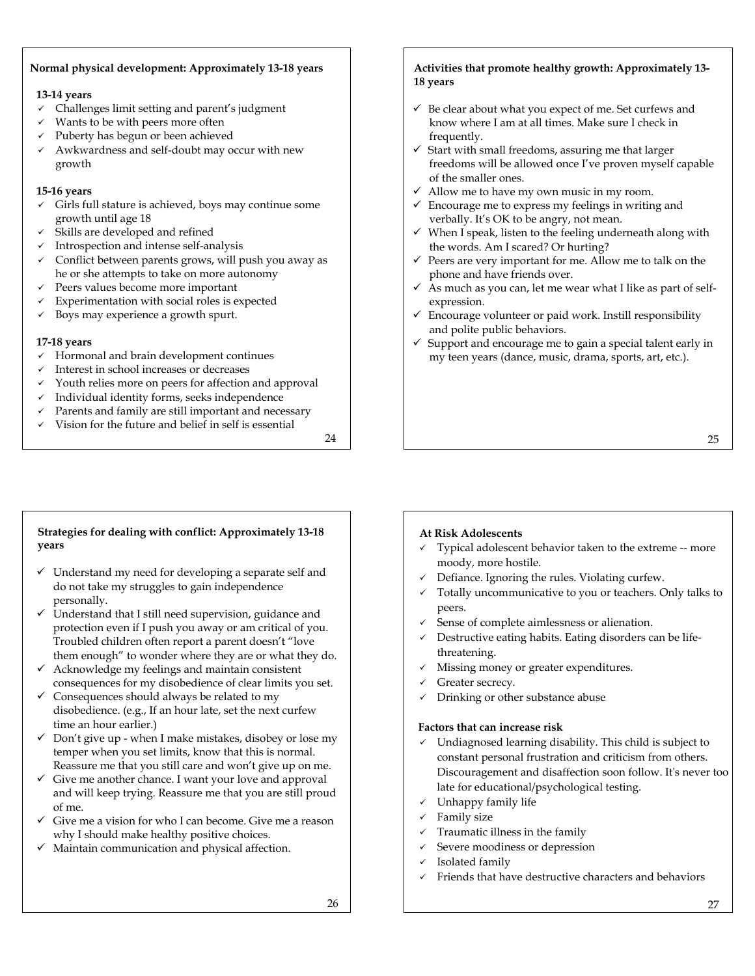## **Normal physical development: Approximately 13-18 years**

## **13-14 years**

- $\checkmark$  Challenges limit setting and parent's judgment
- Wants to be with peers more often
- Puberty has begun or been achieved
- Awkwardness and self-doubt may occur with new growth

## **15-16 years**

- $\checkmark$  Girls full stature is achieved, boys may continue some growth until age 18
- $\checkmark$  Skills are developed and refined
- $\checkmark$  Introspection and intense self-analysis
- $\checkmark$  Conflict between parents grows, will push you away as he or she attempts to take on more autonomy
- $\checkmark$  Peers values become more important
- $\checkmark$  Experimentation with social roles is expected
- $\checkmark$  Boys may experience a growth spurt.

## **17-18 years**

**years** 

personally.

- $\checkmark$  Hormonal and brain development continues
- $\checkmark$  Interest in school increases or decreases
- $\checkmark$  Youth relies more on peers for affection and approval
- $\checkmark$  Individual identity forms, seeks independence
- Parents and family are still important and necessary  $\checkmark$  Vision for the future and belief in self is essential

**Strategies for dealing with conflict: Approximately 13-18** 

 $\checkmark$  Understand my need for developing a separate self and do not take my struggles to gain independence

 $\checkmark$  Understand that I still need supervision, guidance and

24

## **Activities that promote healthy growth: Approximately 13- 18 years**

- $\checkmark$  Be clear about what you expect of me. Set curfews and know where I am at all times. Make sure I check in frequently.
- $\checkmark$  Start with small freedoms, assuring me that larger freedoms will be allowed once I've proven myself capable of the smaller ones.
- $\checkmark$  Allow me to have my own music in my room.
- $\checkmark$  Encourage me to express my feelings in writing and verbally. It's OK to be angry, not mean.
- $\checkmark$  When I speak, listen to the feeling underneath along with the words. Am I scared? Or hurting?
- $\checkmark$  Peers are very important for me. Allow me to talk on the phone and have friends over.
- $\checkmark$  As much as you can, let me wear what I like as part of selfexpression.
- $\checkmark$  Encourage volunteer or paid work. Instill responsibility and polite public behaviors.
- $\checkmark$  Support and encourage me to gain a special talent early in my teen years (dance, music, drama, sports, art, etc.).

## **At Risk Adolescents**

- 9 Typical adolescent behavior taken to the extreme ‐‐ more moody, more hostile.
- Defiance. Ignoring the rules. Violating curfew.
- $\checkmark$  Totally uncommunicative to you or teachers. Only talks to peers.
- Sense of complete aimlessness or alienation.
- Destructive eating habits. Eating disorders can be lifethreatening.
- Missing money or greater expenditures.
- Greater secrecy.
- Drinking or other substance abuse

## **Factors that can increase risk**

- $\checkmark$  Undiagnosed learning disability. This child is subject to constant personal frustration and criticism from others. Discouragement and disaffection soon follow. Itʹs never too late for educational/psychological testing.
- $\checkmark$  Unhappy family life
- Family size
- $\checkmark$  Traumatic illness in the family
- Severe moodiness or depression
- Isolated family
- 9 Friends that have destructive characters and behaviors

25

## protection even if I push you away or am critical of you.

Troubled children often report a parent doesn't "love them enough" to wonder where they are or what they do.  $\checkmark$  Acknowledge my feelings and maintain consistent

- consequences for my disobedience of clear limits you set.  $\checkmark$  Consequences should always be related to my
- disobedience. (e.g., If an hour late, set the next curfew time an hour earlier.)
- $\checkmark$  Don't give up when I make mistakes, disobey or lose my temper when you set limits, know that this is normal. Reassure me that you still care and won't give up on me.
- $\checkmark$  Give me another chance. I want your love and approval and will keep trying. Reassure me that you are still proud of me.
- Give me a vision for who I can become. Give me a reason why I should make healthy positive choices.
- $\checkmark$  Maintain communication and physical affection.